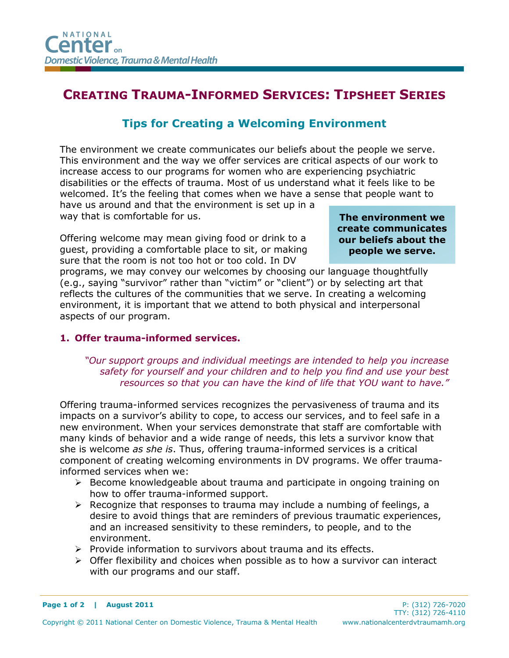# CREATING TRAUMA-INFORMED SERVICES: TIPSHEET SERIES

## Tips for Creating a Welcoming Environment

The environment we create communicates our beliefs about the people we serve. This environment and the way we offer services are critical aspects of our work to increase access to our programs for women who are experiencing psychiatric disabilities or the effects of trauma. Most of us understand what it feels like to be welcomed. It's the feeling that comes when we have a sense that people want to have us around and that the environment is set up in a

way that is comfortable for us.

Offering welcome may mean giving food or drink to a guest, providing a comfortable place to sit, or making sure that the room is not too hot or too cold. In DV

The environment we create communicates our beliefs about the people we serve.

programs, we may convey our welcomes by choosing our language thoughtfully (e.g., saying "survivor" rather than "victim" or "client") or by selecting art that reflects the cultures of the communities that we serve. In creating a welcoming environment, it is important that we attend to both physical and interpersonal aspects of our program.

### 1. Offer trauma-informed services.

#### "Our support groups and individual meetings are intended to help you increase safety for yourself and your children and to help you find and use your best resources so that you can have the kind of life that YOU want to have."

Offering trauma-informed services recognizes the pervasiveness of trauma and its impacts on a survivor's ability to cope, to access our services, and to feel safe in a new environment. When your services demonstrate that staff are comfortable with many kinds of behavior and a wide range of needs, this lets a survivor know that she is welcome *as she is*. Thus, offering trauma-informed services is a critical component of creating welcoming environments in DV programs. We offer traumainformed services when we:

- $\triangleright$  Become knowledgeable about trauma and participate in ongoing training on how to offer trauma-informed support.
- $\triangleright$  Recognize that responses to trauma may include a numbing of feelings, a desire to avoid things that are reminders of previous traumatic experiences, and an increased sensitivity to these reminders, to people, and to the environment.
- $\triangleright$  Provide information to survivors about trauma and its effects.
- $\triangleright$  Offer flexibility and choices when possible as to how a survivor can interact with our programs and our staff.